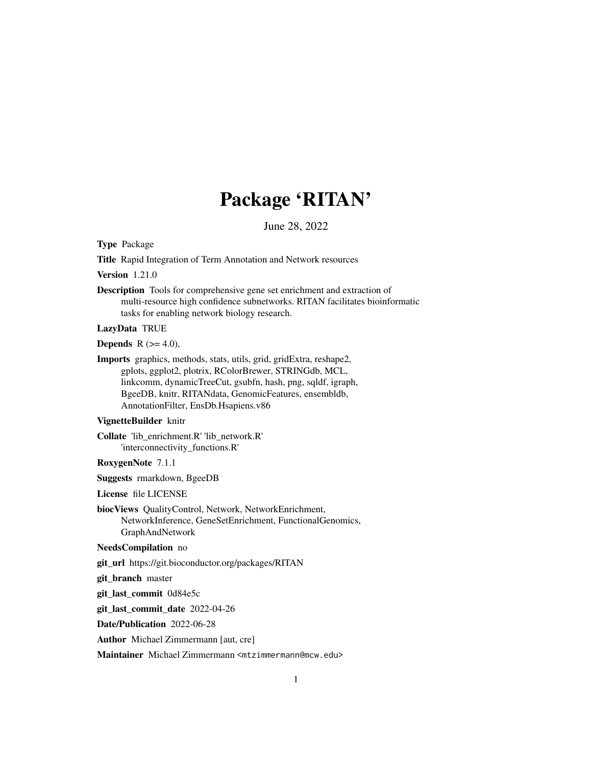# Package 'RITAN'

June 28, 2022

Type Package

Title Rapid Integration of Term Annotation and Network resources

Version 1.21.0

Description Tools for comprehensive gene set enrichment and extraction of multi-resource high confidence subnetworks. RITAN facilitates bioinformatic tasks for enabling network biology research.

#### LazyData TRUE

Depends  $R$  ( $>= 4.0$ ),

Imports graphics, methods, stats, utils, grid, gridExtra, reshape2, gplots, ggplot2, plotrix, RColorBrewer, STRINGdb, MCL, linkcomm, dynamicTreeCut, gsubfn, hash, png, sqldf, igraph, BgeeDB, knitr, RITANdata, GenomicFeatures, ensembldb, AnnotationFilter, EnsDb.Hsapiens.v86

#### VignetteBuilder knitr

Collate 'lib\_enrichment.R' 'lib\_network.R' 'interconnectivity\_functions.R'

RoxygenNote 7.1.1

Suggests rmarkdown, BgeeDB

License file LICENSE

biocViews QualityControl, Network, NetworkEnrichment, NetworkInference, GeneSetEnrichment, FunctionalGenomics, GraphAndNetwork

#### NeedsCompilation no

git\_url https://git.bioconductor.org/packages/RITAN

git\_branch master

git\_last\_commit 0d84e5c

git\_last\_commit\_date 2022-04-26

Date/Publication 2022-06-28

Author Michael Zimmermann [aut, cre]

Maintainer Michael Zimmermann <mtzimmermann@mcw.edu>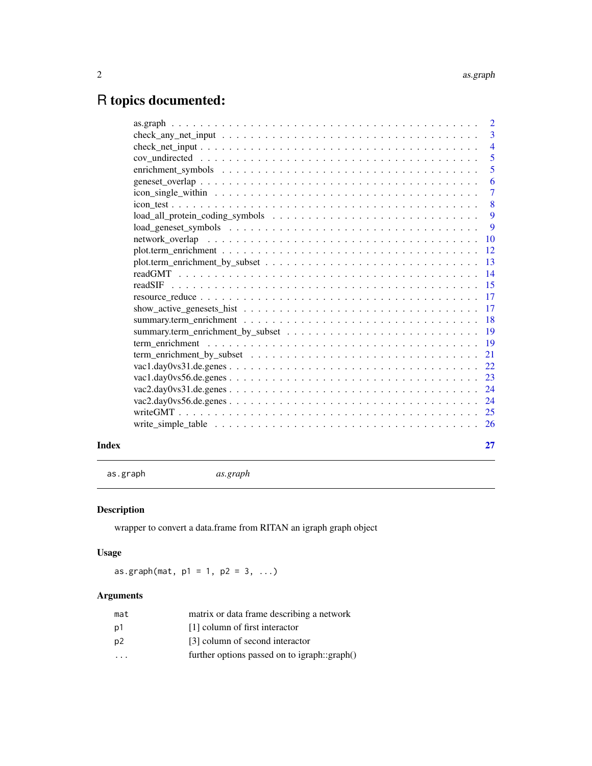## <span id="page-1-0"></span>R topics documented:

|       | $\overline{5}$             |
|-------|----------------------------|
|       | $\overline{\phantom{0}}$ 5 |
|       | -6                         |
|       | $\overline{7}$             |
|       | $\overline{\phantom{0}}8$  |
|       |                            |
|       | 9                          |
|       |                            |
|       |                            |
|       |                            |
|       |                            |
|       |                            |
|       |                            |
|       |                            |
|       |                            |
|       |                            |
|       |                            |
|       |                            |
|       |                            |
|       |                            |
|       |                            |
|       |                            |
|       |                            |
|       |                            |
| Index | 27                         |

as.graph *as.graph*

## Description

wrapper to convert a data.frame from RITAN an igraph graph object

#### Usage

 $as.graph(mat, p1 = 1, p2 = 3, ...)$ 

| mat                     | matrix or data frame describing a network    |
|-------------------------|----------------------------------------------|
| p1                      | [1] column of first interactor               |
| p2                      | [3] column of second interactor              |
| $\cdot$ $\cdot$ $\cdot$ | further options passed on to igraph::graph() |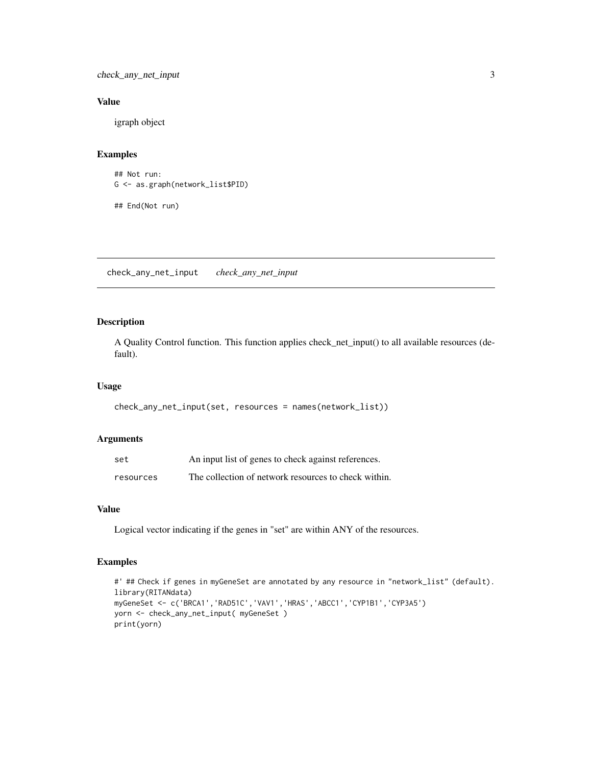<span id="page-2-0"></span>check\_any\_net\_input 3

#### Value

igraph object

#### Examples

## Not run: G <- as.graph(network\_list\$PID)

## End(Not run)

check\_any\_net\_input *check\_any\_net\_input*

#### Description

A Quality Control function. This function applies check\_net\_input() to all available resources (default).

#### Usage

```
check_any_net_input(set, resources = names(network_list))
```
#### Arguments

| set       | An input list of genes to check against references.  |
|-----------|------------------------------------------------------|
| resources | The collection of network resources to check within. |

#### Value

Logical vector indicating if the genes in "set" are within ANY of the resources.

#### Examples

```
#' ## Check if genes in myGeneSet are annotated by any resource in "network_list" (default).
library(RITANdata)
myGeneSet <- c('BRCA1','RAD51C','VAV1','HRAS','ABCC1','CYP1B1','CYP3A5')
yorn <- check_any_net_input( myGeneSet )
print(yorn)
```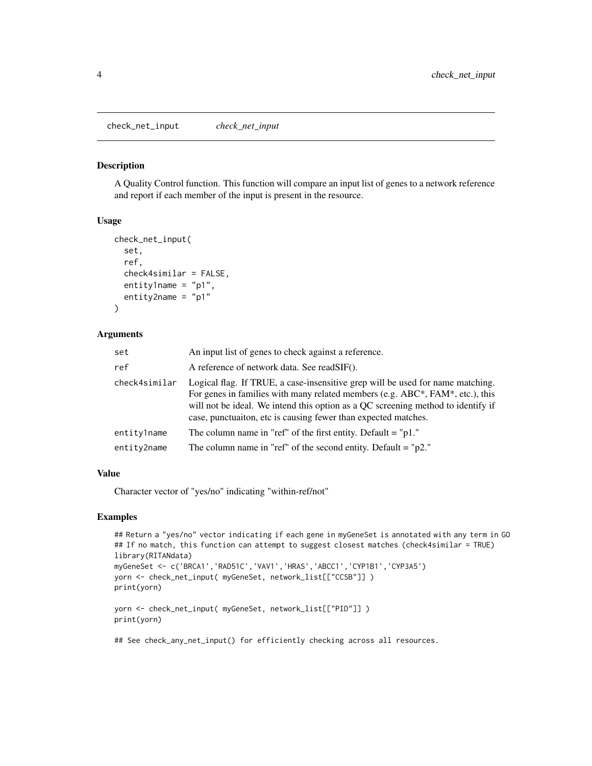<span id="page-3-0"></span>check\_net\_input *check\_net\_input*

#### Description

A Quality Control function. This function will compare an input list of genes to a network reference and report if each member of the input is present in the resource.

#### Usage

```
check_net_input(
  set,
  ref,
  check4similar = FALSE,
  entity1name = "p1",entity2name = "p1"
)
```
#### Arguments

| set           | An input list of genes to check against a reference.                                                                                                                                                                                                                                                                  |
|---------------|-----------------------------------------------------------------------------------------------------------------------------------------------------------------------------------------------------------------------------------------------------------------------------------------------------------------------|
| ref           | A reference of network data. See readSIF().                                                                                                                                                                                                                                                                           |
| check4similar | Logical flag. If TRUE, a case-insensitive grep will be used for name matching.<br>For genes in families with many related members (e.g. ABC*, FAM*, etc.), this<br>will not be ideal. We intend this option as a QC screening method to identify if<br>case, punctualton, etc is causing fewer than expected matches. |
| entity1name   | The column name in "ref" of the first entity. Default $=$ "p1."                                                                                                                                                                                                                                                       |
| entity2name   | The column name in "ref" of the second entity. Default = " $p2$ ."                                                                                                                                                                                                                                                    |

#### Value

Character vector of "yes/no" indicating "within-ref/not"

#### Examples

```
## Return a "yes/no" vector indicating if each gene in myGeneSet is annotated with any term in GO
## If no match, this function can attempt to suggest closest matches (check4similar = TRUE)
library(RITANdata)
myGeneSet <- c('BRCA1','RAD51C','VAV1','HRAS','ABCC1','CYP1B1','CYP3A5')
yorn <- check_net_input( myGeneSet, network_list[["CCSB"]] )
print(yorn)
yorn <- check_net_input( myGeneSet, network_list[["PID"]] )
```
print(yorn)

## See check\_any\_net\_input() for efficiently checking across all resources.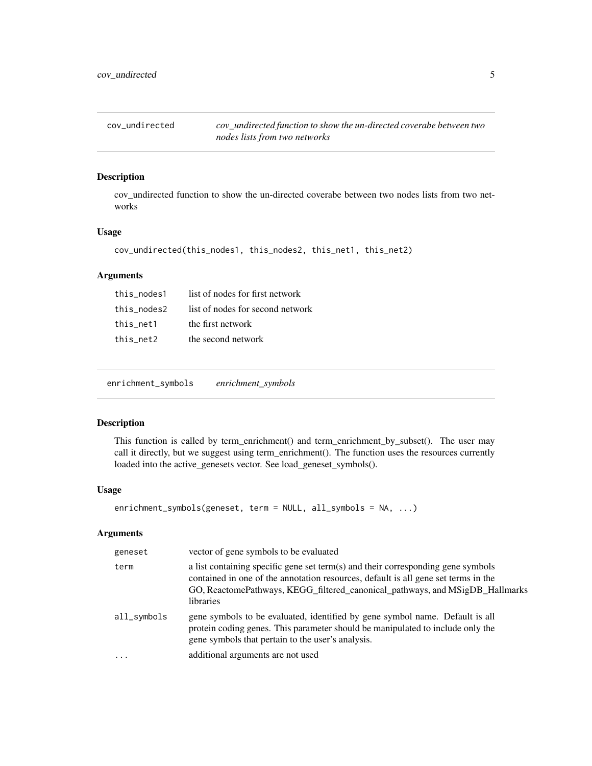<span id="page-4-0"></span>cov\_undirected *cov\_undirected function to show the un-directed coverabe between two nodes lists from two networks*

#### Description

cov\_undirected function to show the un-directed coverabe between two nodes lists from two networks

#### Usage

```
cov_undirected(this_nodes1, this_nodes2, this_net1, this_net2)
```
#### Arguments

| this nodes1 | list of nodes for first network  |
|-------------|----------------------------------|
| this nodes2 | list of nodes for second network |
| this net1   | the first network                |
| this net2   | the second network               |

enrichment\_symbols *enrichment\_symbols*

#### Description

This function is called by term\_enrichment() and term\_enrichment\_by\_subset(). The user may call it directly, but we suggest using term\_enrichment(). The function uses the resources currently loaded into the active\_genesets vector. See load\_geneset\_symbols().

#### Usage

```
enrichment_symbols(geneset, term = NULL, all_symbols = NA, ...)
```

| geneset     | vector of gene symbols to be evaluated                                                                                                                                                                                                                              |
|-------------|---------------------------------------------------------------------------------------------------------------------------------------------------------------------------------------------------------------------------------------------------------------------|
| term        | a list containing specific gene set term(s) and their corresponding gene symbols<br>contained in one of the annotation resources, default is all gene set terms in the<br>GO, ReactomePathways, KEGG_filtered_canonical_pathways, and MSigDB_Hallmarks<br>libraries |
| all_symbols | gene symbols to be evaluated, identified by gene symbol name. Default is all<br>protein coding genes. This parameter should be manipulated to include only the<br>gene symbols that pertain to the user's analysis.                                                 |
| .           | additional arguments are not used                                                                                                                                                                                                                                   |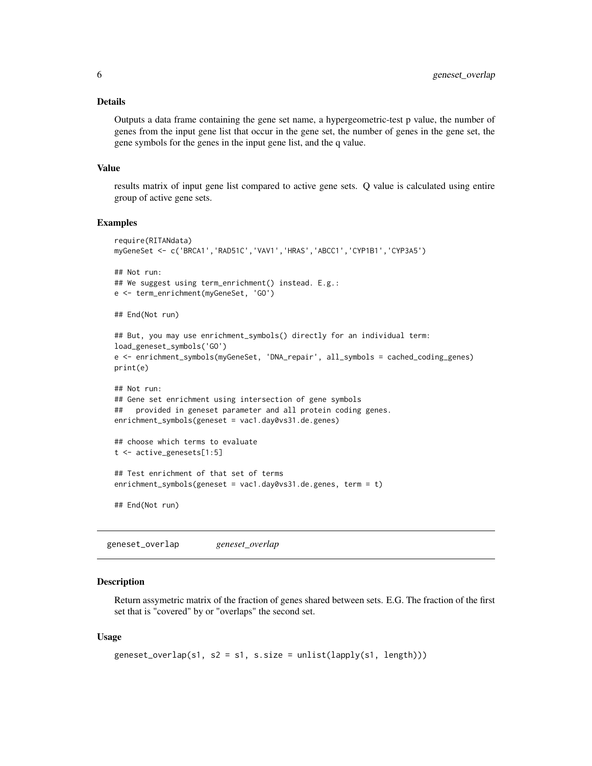#### <span id="page-5-0"></span>Details

Outputs a data frame containing the gene set name, a hypergeometric-test p value, the number of genes from the input gene list that occur in the gene set, the number of genes in the gene set, the gene symbols for the genes in the input gene list, and the q value.

#### Value

results matrix of input gene list compared to active gene sets. Q value is calculated using entire group of active gene sets.

#### Examples

```
require(RITANdata)
myGeneSet <- c('BRCA1','RAD51C','VAV1','HRAS','ABCC1','CYP1B1','CYP3A5')
## Not run:
## We suggest using term_enrichment() instead. E.g.:
e <- term_enrichment(myGeneSet, 'GO')
## End(Not run)
## But, you may use enrichment_symbols() directly for an individual term:
load_geneset_symbols('GO')
e <- enrichment_symbols(myGeneSet, 'DNA_repair', all_symbols = cached_coding_genes)
print(e)
## Not run:
## Gene set enrichment using intersection of gene symbols
## provided in geneset parameter and all protein coding genes.
enrichment_symbols(geneset = vac1.day0vs31.de.genes)
## choose which terms to evaluate
t <- active_genesets[1:5]
## Test enrichment of that set of terms
enrichment_symbols(geneset = vac1.day0vs31.de.genes, term = t)
## End(Not run)
```
geneset\_overlap *geneset\_overlap*

#### Description

Return assymetric matrix of the fraction of genes shared between sets. E.G. The fraction of the first set that is "covered" by or "overlaps" the second set.

#### Usage

```
geneset_overlap(s1, s2 = s1, s.size = unlist(lapply(s1, length)))
```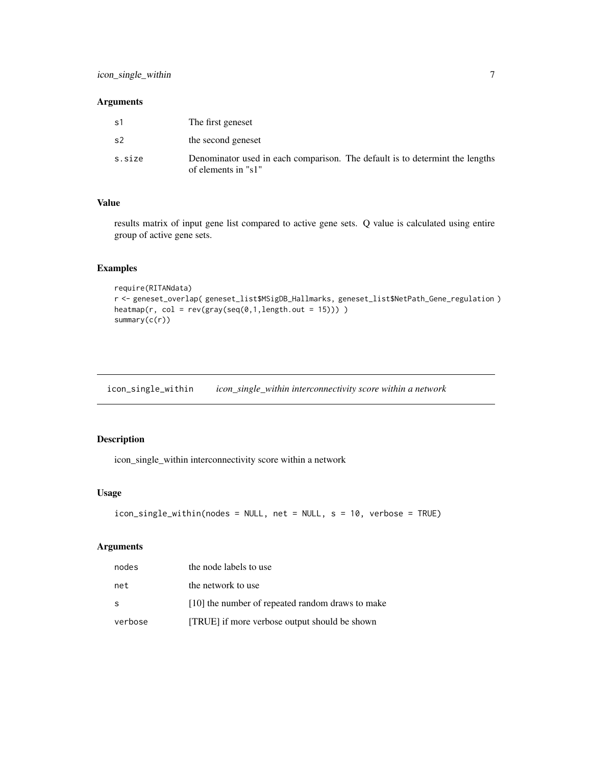#### <span id="page-6-0"></span>Arguments

| s1     | The first geneset                                                                                   |
|--------|-----------------------------------------------------------------------------------------------------|
| s2     | the second geneset                                                                                  |
| s.size | Denominator used in each comparison. The default is to determint the lengths<br>of elements in "s1" |

#### Value

results matrix of input gene list compared to active gene sets. Q value is calculated using entire group of active gene sets.

#### Examples

```
require(RITANdata)
r <- geneset_overlap( geneset_list$MSigDB_Hallmarks, geneset_list$NetPath_Gene_regulation )
heatmap(r, col = rev(gray(seq(0,1,length.out = 15))) )summary(c(r))
```
icon\_single\_within *icon\_single\_within interconnectivity score within a network*

#### Description

icon\_single\_within interconnectivity score within a network

#### Usage

```
icon_single_within(nodes = NULL, net = NULL, s = 10, verbose = TRUE)
```

| nodes   | the node labels to use                           |
|---------|--------------------------------------------------|
| net     | the network to use                               |
| - S     | [10] the number of repeated random draws to make |
| verbose | [TRUE] if more verbose output should be shown    |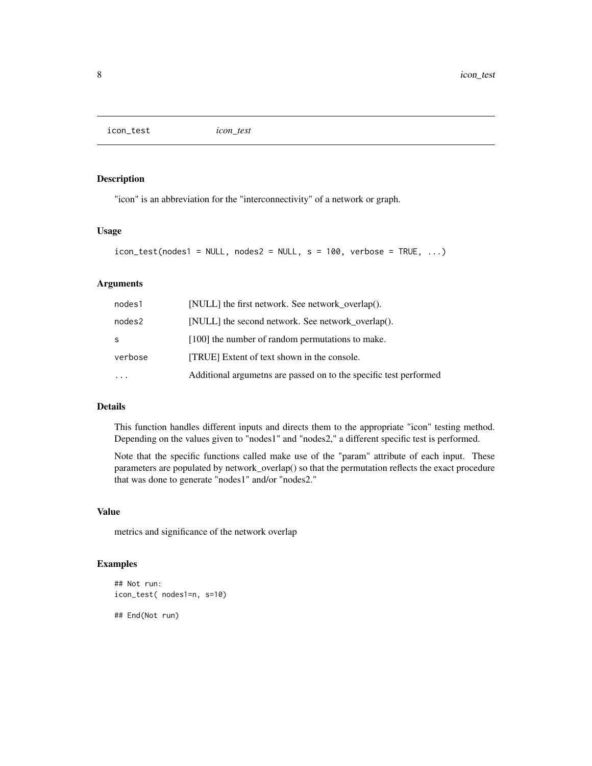<span id="page-7-0"></span>icon\_test *icon\_test*

#### Description

"icon" is an abbreviation for the "interconnectivity" of a network or graph.

#### Usage

```
icon_test(nodes1 = NULL, nodes2 = NULL, s = 100, verbose = TRUE, ...)
```
#### Arguments

| nodes1  | [NULL] the first network. See network_overlap().                   |
|---------|--------------------------------------------------------------------|
| nodes2  | [NULL] the second network. See network_overlap().                  |
| S       | [100] the number of random permutations to make.                   |
| verbose | [TRUE] Extent of text shown in the console.                        |
|         | Additional argumethes are passed on to the specific test performed |

#### Details

This function handles different inputs and directs them to the appropriate "icon" testing method. Depending on the values given to "nodes1" and "nodes2," a different specific test is performed.

Note that the specific functions called make use of the "param" attribute of each input. These parameters are populated by network\_overlap() so that the permutation reflects the exact procedure that was done to generate "nodes1" and/or "nodes2."

#### Value

metrics and significance of the network overlap

#### Examples

```
## Not run:
icon_test( nodes1=n, s=10)
```
## End(Not run)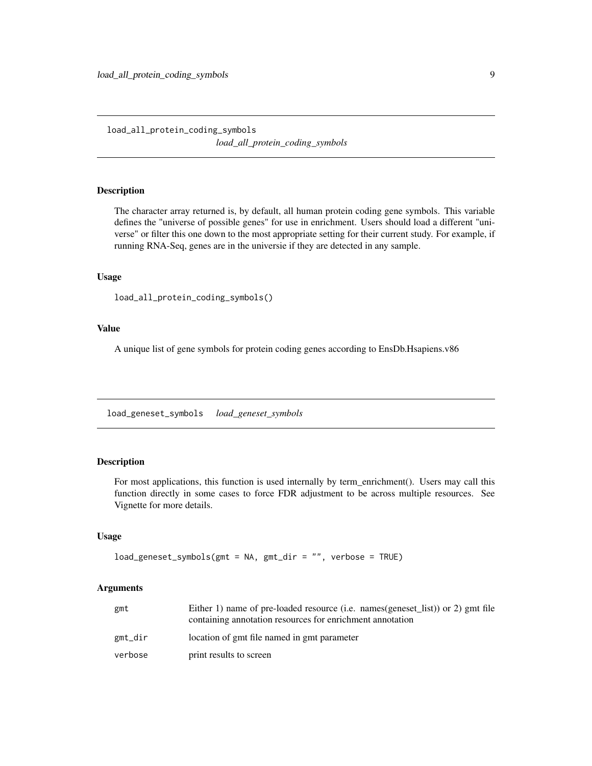<span id="page-8-0"></span>load\_all\_protein\_coding\_symbols *load\_all\_protein\_coding\_symbols*

#### Description

The character array returned is, by default, all human protein coding gene symbols. This variable defines the "universe of possible genes" for use in enrichment. Users should load a different "universe" or filter this one down to the most appropriate setting for their current study. For example, if running RNA-Seq, genes are in the universie if they are detected in any sample.

#### Usage

```
load_all_protein_coding_symbols()
```
#### Value

A unique list of gene symbols for protein coding genes according to EnsDb.Hsapiens.v86

load\_geneset\_symbols *load\_geneset\_symbols*

#### **Description**

For most applications, this function is used internally by term\_enrichment(). Users may call this function directly in some cases to force FDR adjustment to be across multiple resources. See Vignette for more details.

#### Usage

```
load_geneset_symbols(gmt = NA, gmt_dir = "", verbose = TRUE)
```

| gmt     | Either 1) name of pre-loaded resource (i.e. names (geneset list)) or 2) gmt file<br>containing annotation resources for enrichment annotation |
|---------|-----------------------------------------------------------------------------------------------------------------------------------------------|
| gmt_dir | location of gmt file named in gmt parameter                                                                                                   |
| verbose | print results to screen                                                                                                                       |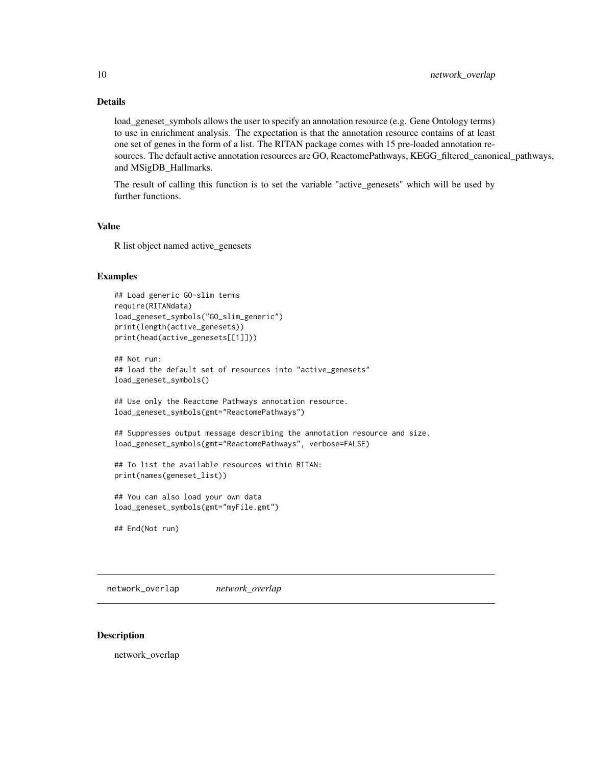#### <span id="page-9-0"></span>Details

load\_geneset\_symbols allows the user to specify an annotation resource (e.g. Gene Ontology terms) to use in enrichment analysis. The expectation is that the annotation resource contains of at least one set of genes in the form of a list. The RITAN package comes with 15 pre-loaded annotation resources. The default active annotation resources are GO, ReactomePathways, KEGG filtered canonical pathways, and MSigDB\_Hallmarks.

The result of calling this function is to set the variable "active\_genesets" which will be used by further functions.

#### Value

R list object named active\_genesets

#### Examples

```
## Load generic GO-slim terms
require(RITANdata)
load_geneset_symbols("GO_slim_generic")
print(length(active_genesets))
print(head(active_genesets[[1]]))
## Not run:
## load the default set of resources into "active_genesets"
load_geneset_symbols()
## Use only the Reactome Pathways annotation resource.
load_geneset_symbols(gmt="ReactomePathways")
## Suppresses output message describing the annotation resource and size.
load_geneset_symbols(gmt="ReactomePathways", verbose=FALSE)
## To list the available resources within RITAN:
print(names(geneset_list))
## You can also load your own data
load_geneset_symbols(gmt="myFile.gmt")
```
## End(Not run)

network\_overlap *network\_overlap*

#### Description

network\_overlap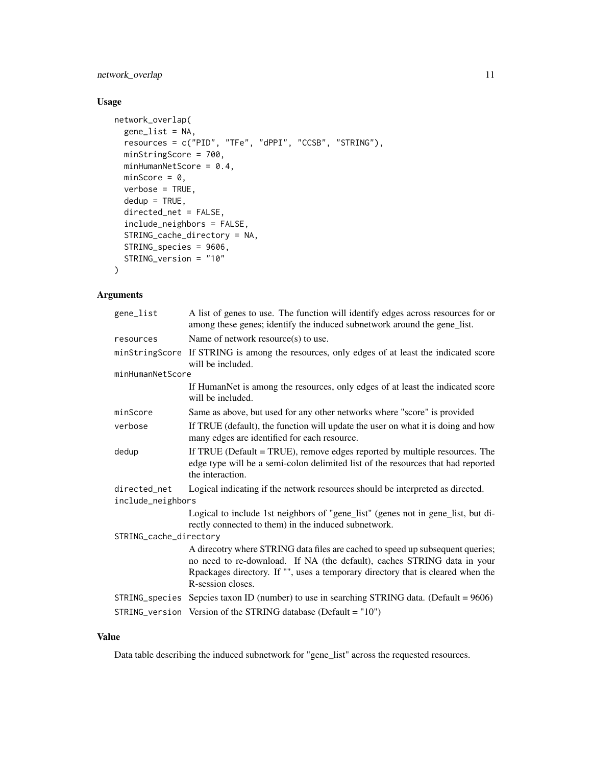#### network\_overlap 11

#### Usage

```
network_overlap(
 gene_list = NA,
 resources = c("PID", "TFe", "dPPI", "CCSB", "STRING"),
 minStringScore = 700,
 minHumanNetScore = 0.4,
 minScore = 0,verbose = TRUE,
 dedup = TRUE,directed_net = FALSE,
  include_neighbors = FALSE,
 STRING_cache_directory = NA,
 STRING_species = 9606,
 STRING_version = "10"
)
```
#### Arguments

| gene_list                         | A list of genes to use. The function will identify edges across resources for or<br>among these genes; identify the induced subnetwork around the gene_list.                                                                                                      |  |
|-----------------------------------|-------------------------------------------------------------------------------------------------------------------------------------------------------------------------------------------------------------------------------------------------------------------|--|
| resources                         | Name of network resource(s) to use.                                                                                                                                                                                                                               |  |
|                                   | minStringScore If STRING is among the resources, only edges of at least the indicated score<br>will be included.                                                                                                                                                  |  |
| minHumanNetScore                  |                                                                                                                                                                                                                                                                   |  |
|                                   | If HumanNet is among the resources, only edges of at least the indicated score<br>will be included.                                                                                                                                                               |  |
| minScore                          | Same as above, but used for any other networks where "score" is provided                                                                                                                                                                                          |  |
| verbose                           | If TRUE (default), the function will update the user on what it is doing and how<br>many edges are identified for each resource.                                                                                                                                  |  |
| dedup                             | If TRUE (Default = TRUE), remove edges reported by multiple resources. The<br>edge type will be a semi-colon delimited list of the resources that had reported<br>the interaction.                                                                                |  |
| directed net<br>include_neighbors | Logical indicating if the network resources should be interpreted as directed.                                                                                                                                                                                    |  |
|                                   | Logical to include 1st neighbors of "gene_list" (genes not in gene_list, but di-<br>rectly connected to them) in the induced subnetwork.                                                                                                                          |  |
| STRING_cache_directory            |                                                                                                                                                                                                                                                                   |  |
|                                   | A direcotry where STRING data files are cached to speed up subsequent queries;<br>no need to re-download. If NA (the default), caches STRING data in your<br>Rpackages directory. If "", uses a temporary directory that is cleared when the<br>R-session closes. |  |
|                                   | STRING_species Sepcies taxon ID (number) to use in searching STRING data. (Default = $9606$ )                                                                                                                                                                     |  |
|                                   | STRING_version Version of the STRING database (Default = $"10"$ )                                                                                                                                                                                                 |  |

#### Value

Data table describing the induced subnetwork for "gene\_list" across the requested resources.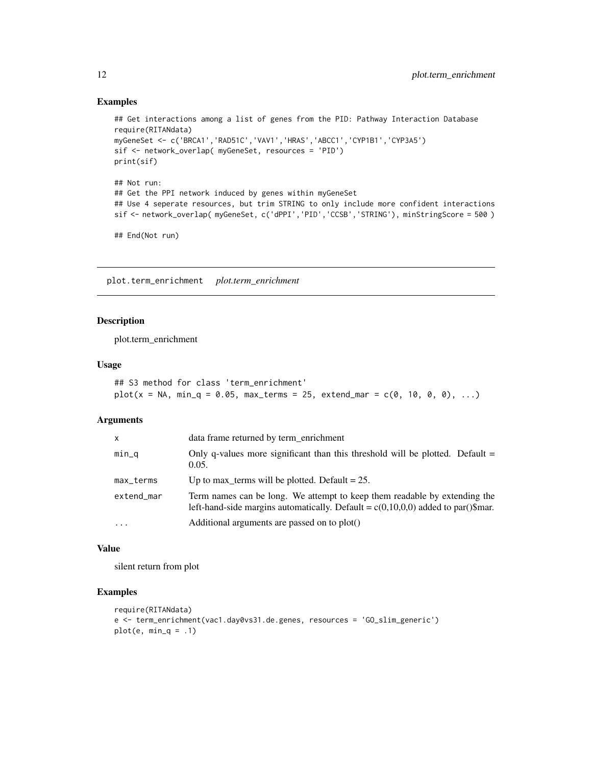#### Examples

```
## Get interactions among a list of genes from the PID: Pathway Interaction Database
require(RITANdata)
myGeneSet <- c('BRCA1','RAD51C','VAV1','HRAS','ABCC1','CYP1B1','CYP3A5')
sif <- network_overlap( myGeneSet, resources = 'PID')
print(sif)
## Not run:
## Get the PPI network induced by genes within myGeneSet
## Use 4 seperate resources, but trim STRING to only include more confident interactions
sif <- network_overlap( myGeneSet, c('dPPI','PID','CCSB','STRING'), minStringScore = 500 )
## End(Not run)
```
plot.term\_enrichment *plot.term\_enrichment*

#### Description

plot.term\_enrichment

#### Usage

## S3 method for class 'term\_enrichment'  $plot(x = NA, min_q = 0.05, max_t, = 25, extend_m = c(0, 10, 0, 0), ...)$ 

#### Arguments

| $\mathsf{x}$ | data frame returned by term_enrichment                                                                                                                          |
|--------------|-----------------------------------------------------------------------------------------------------------------------------------------------------------------|
| $min_q$      | Only q-values more significant than this threshold will be plotted. Default $=$<br>0.05.                                                                        |
| max_terms    | Up to max_terms will be plotted. Default = $25$ .                                                                                                               |
| extend_mar   | Term names can be long. We attempt to keep them readable by extending the<br>left-hand-side margins automatically. Default = $c(0,10,0,0)$ added to par()\$mar. |
| $\ddotsc$    | Additional arguments are passed on to plot()                                                                                                                    |

#### Value

silent return from plot

#### Examples

```
require(RITANdata)
e <- term_enrichment(vac1.day0vs31.de.genes, resources = 'GO_slim_generic')
plot(e, min_q = .1)
```
<span id="page-11-0"></span>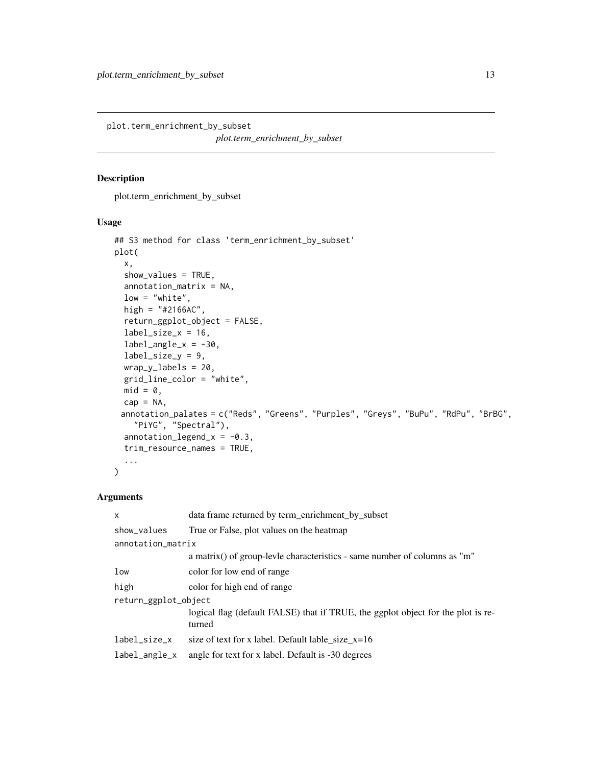<span id="page-12-0"></span>plot.term\_enrichment\_by\_subset *plot.term\_enrichment\_by\_subset*

#### Description

plot.term\_enrichment\_by\_subset

#### Usage

```
## S3 method for class 'term_enrichment_by_subset'
plot(
  x,
  show_values = TRUE,
  annotation_matrix = NA,
  low = "white",high = "#2166AC",
  return_ggplot_object = FALSE,
  label\_size_x = 16,
  label\_angle_x = -30,
  label_size_y = 9,
 wrap_y_labels = 20,
  grid_line_color = "white",
 mid = 0,cap = NA,
 annotation_palates = c("Reds", "Greens", "Purples", "Greys", "BuPu", "RdPu", "BrBG",
    "PiYG", "Spectral"),
  annotation\_legend_x = -0.3,
  trim_resource_names = TRUE,
  ...
)
```

| X                    | data frame returned by term_enrichment_by_subset                                           |  |
|----------------------|--------------------------------------------------------------------------------------------|--|
| show_values          | True or False, plot values on the heatmap                                                  |  |
| annotation_matrix    |                                                                                            |  |
|                      | a matrix() of group-levile characteristics - same number of columns as "m"                 |  |
| low                  | color for low end of range                                                                 |  |
| high                 | color for high end of range                                                                |  |
| return_ggplot_object |                                                                                            |  |
|                      | logical flag (default FALSE) that if TRUE, the ggplot object for the plot is re-<br>turned |  |
| label_size_x         | size of text for x label. Default lable_size_ $x=16$                                       |  |
| label_angle_x        | angle for text for x label. Default is -30 degrees                                         |  |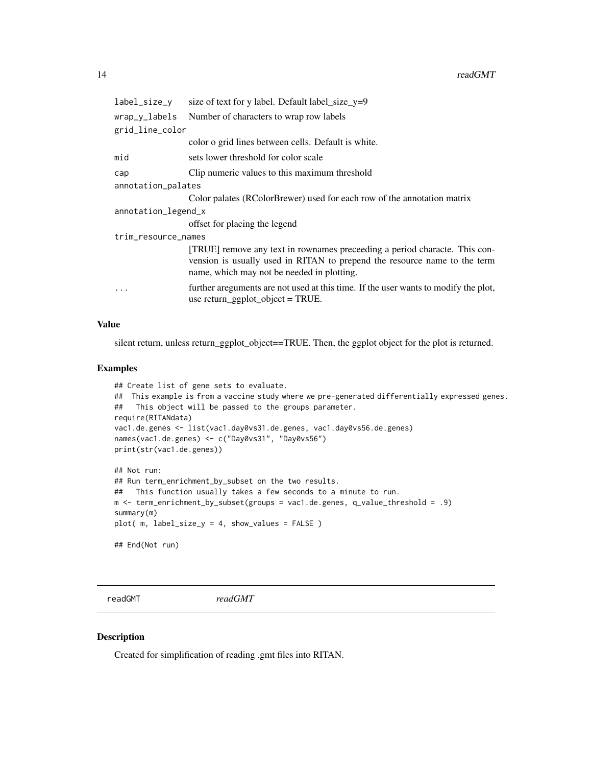<span id="page-13-0"></span>

| label_size_y        | size of text for y label. Default label_size_y=9                                                                                                                                                      |
|---------------------|-------------------------------------------------------------------------------------------------------------------------------------------------------------------------------------------------------|
| wrap_y_labels       | Number of characters to wrap row labels                                                                                                                                                               |
| grid_line_color     |                                                                                                                                                                                                       |
|                     | color o grid lines between cells. Default is white.                                                                                                                                                   |
| mid                 | sets lower threshold for color scale                                                                                                                                                                  |
| cap                 | Clip numeric values to this maximum threshold                                                                                                                                                         |
| annotation_palates  |                                                                                                                                                                                                       |
|                     | Color palates (RColorBrewer) used for each row of the annotation matrix                                                                                                                               |
| annotation_legend_x |                                                                                                                                                                                                       |
|                     | offset for placing the legend                                                                                                                                                                         |
| trim_resource_names |                                                                                                                                                                                                       |
|                     | [TRUE] remove any text in rownames preceeding a period characte. This con-<br>vension is usually used in RITAN to prepend the resource name to the term<br>name, which may not be needed in plotting. |
| $\cdot$             | further areguments are not used at this time. If the user wants to modify the plot,<br>use return_ggplot_object = $TRUE$ .                                                                            |

#### Value

silent return, unless return\_ggplot\_object==TRUE. Then, the ggplot object for the plot is returned.

#### Examples

```
## Create list of gene sets to evaluate.
## This example is from a vaccine study where we pre-generated differentially expressed genes.
## This object will be passed to the groups parameter.
require(RITANdata)
vac1.de.genes <- list(vac1.day0vs31.de.genes, vac1.day0vs56.de.genes)
names(vac1.de.genes) <- c("Day0vs31", "Day0vs56")
print(str(vac1.de.genes))
## Not run:
## Run term_enrichment_by_subset on the two results.
## This function usually takes a few seconds to a minute to run.
m <- term_enrichment_by_subset(groups = vac1.de.genes, q_value_threshold = .9)
summary(m)
plot( m, label_size_y = 4, show_values = FALSE )
```
## End(Not run)

readGMT *readGMT*

#### Description

Created for simplification of reading .gmt files into RITAN.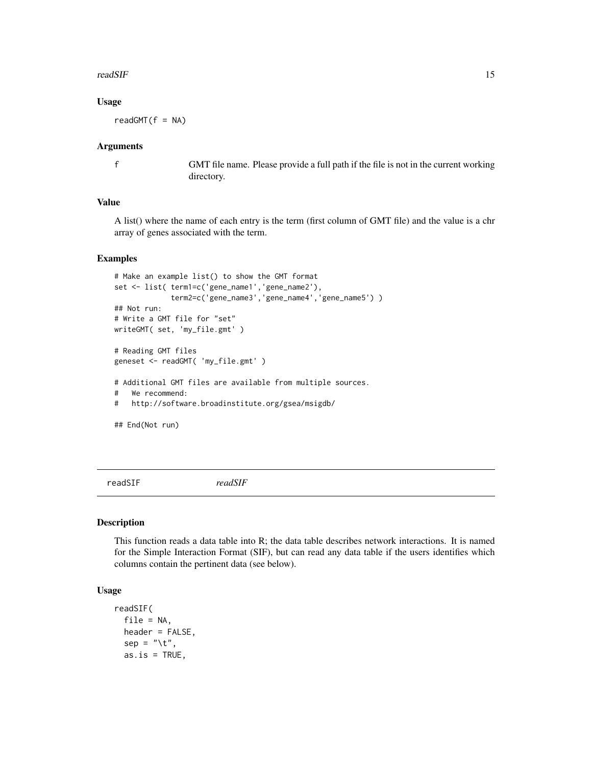#### <span id="page-14-0"></span>readSIF and the contract of the contract of the contract of the contract of the contract of the contract of the contract of the contract of the contract of the contract of the contract of the contract of the contract of th

#### Usage

 $readGMT(f = NA)$ 

#### Arguments

f GMT file name. Please provide a full path if the file is not in the current working directory.

#### Value

A list() where the name of each entry is the term (first column of GMT file) and the value is a chr array of genes associated with the term.

#### Examples

```
# Make an example list() to show the GMT format
set <- list( term1=c('gene_name1','gene_name2'),
             term2=c('gene_name3','gene_name4','gene_name5') )
## Not run:
# Write a GMT file for "set"
writeGMT( set, 'my_file.gmt' )
# Reading GMT files
geneset <- readGMT( 'my_file.gmt' )
# Additional GMT files are available from multiple sources.
# We recommend:
# http://software.broadinstitute.org/gsea/msigdb/
## End(Not run)
```
readSIF *readSIF*

#### Description

This function reads a data table into R; the data table describes network interactions. It is named for the Simple Interaction Format (SIF), but can read any data table if the users identifies which columns contain the pertinent data (see below).

#### Usage

```
readSIF(
  file = NA,
  header = FALSE,
  sep = "\t",
  as.is = TRUE,
```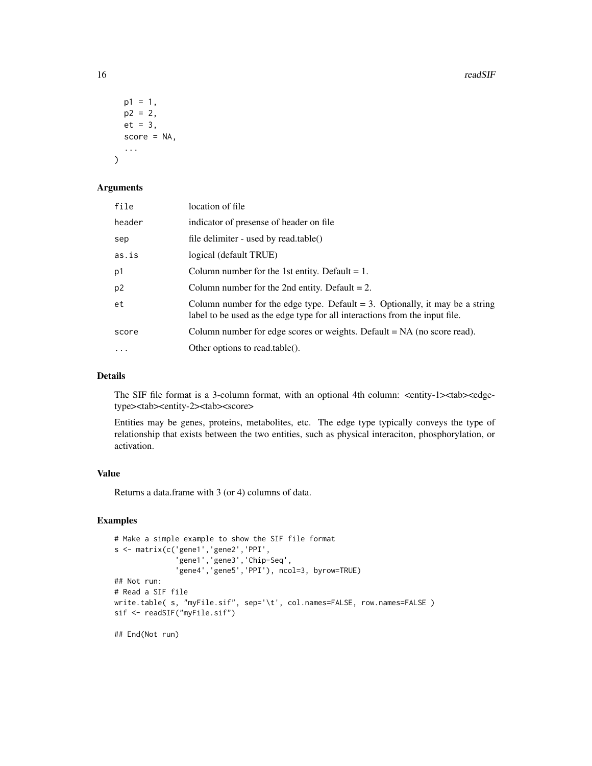16 readSIF

```
p1 = 1,
  p2 = 2,
  et = 3,
  score = NA,
  ...
\mathcal{L}
```
#### Arguments

| file           | location of file                                                                                                                                               |
|----------------|----------------------------------------------------------------------------------------------------------------------------------------------------------------|
| header         | indicator of presense of header on file.                                                                                                                       |
| sep            | file delimiter - used by read.table()                                                                                                                          |
| as.is          | logical (default TRUE)                                                                                                                                         |
| p1             | Column number for the 1st entity. Default $= 1$ .                                                                                                              |
| p <sub>2</sub> | Column number for the 2nd entity. Default $= 2$ .                                                                                                              |
| et             | Column number for the edge type. Default $= 3$ . Optionally, it may be a string<br>label to be used as the edge type for all interactions from the input file. |
| score          | Column number for edge scores or weights. Default $= NA$ (no score read).                                                                                      |
| $\cdots$       | Other options to read.table().                                                                                                                                 |

#### Details

The SIF file format is a 3-column format, with an optional 4th column: <entity-1><tab><edgetype><tab><entity-2><tab><score>

Entities may be genes, proteins, metabolites, etc. The edge type typically conveys the type of relationship that exists between the two entities, such as physical interaciton, phosphorylation, or activation.

#### Value

Returns a data.frame with 3 (or 4) columns of data.

#### Examples

```
# Make a simple example to show the SIF file format
s <- matrix(c('gene1','gene2','PPI',
              'gene1','gene3','Chip-Seq',
              'gene4','gene5','PPI'), ncol=3, byrow=TRUE)
## Not run:
# Read a SIF file
write.table( s, "myFile.sif", sep='\t', col.names=FALSE, row.names=FALSE )
sif <- readSIF("myFile.sif")
## End(Not run)
```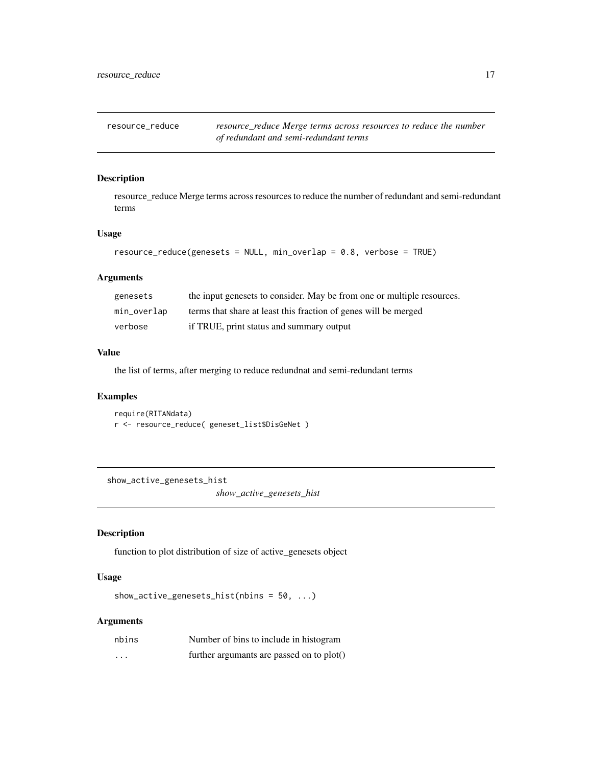<span id="page-16-0"></span>resource\_reduce *resource\_reduce Merge terms across resources to reduce the number of redundant and semi-redundant terms*

#### Description

resource\_reduce Merge terms across resources to reduce the number of redundant and semi-redundant terms

#### Usage

```
resource_reduce(genesets = NULL, min_overlap = 0.8, verbose = TRUE)
```
#### Arguments

| genesets    | the input genesets to consider. May be from one or multiple resources. |
|-------------|------------------------------------------------------------------------|
| min_overlap | terms that share at least this fraction of genes will be merged        |
| verbose     | if TRUE, print status and summary output                               |

#### Value

the list of terms, after merging to reduce redundnat and semi-redundant terms

#### Examples

require(RITANdata) r <- resource\_reduce( geneset\_list\$DisGeNet )

show\_active\_genesets\_hist

*show\_active\_genesets\_hist*

#### Description

function to plot distribution of size of active\_genesets object

#### Usage

show\_active\_genesets\_hist(nbins = 50, ...)

| nbins    | Number of bins to include in histogram    |
|----------|-------------------------------------------|
| $\cdots$ | further argumants are passed on to plot() |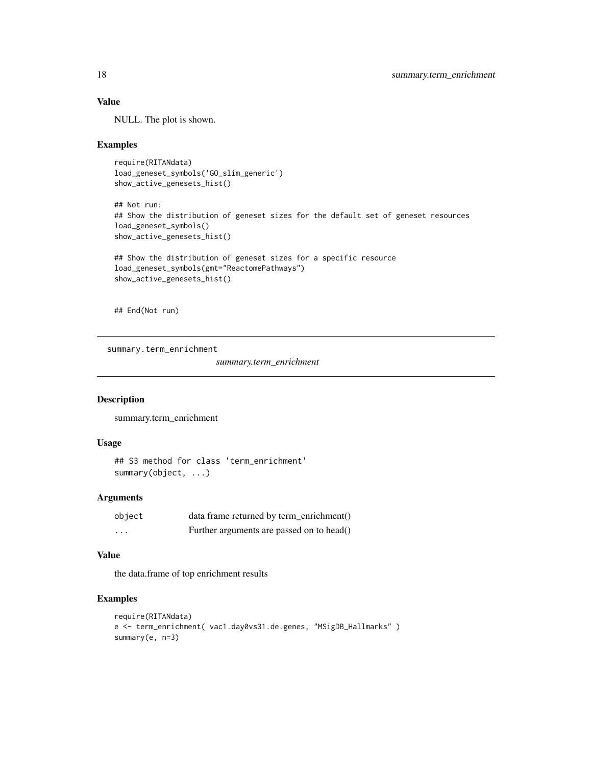#### Value

NULL. The plot is shown.

#### Examples

```
require(RITANdata)
load_geneset_symbols('GO_slim_generic')
show_active_genesets_hist()
```
## Not run: ## Show the distribution of geneset sizes for the default set of geneset resources load\_geneset\_symbols() show\_active\_genesets\_hist()

```
## Show the distribution of geneset sizes for a specific resource
load_geneset_symbols(gmt="ReactomePathways")
show_active_genesets_hist()
```
## End(Not run)

summary.term\_enrichment

*summary.term\_enrichment*

#### Description

summary.term\_enrichment

#### Usage

```
## S3 method for class 'term_enrichment'
summary(object, ...)
```
#### Arguments

| object   | data frame returned by term_enrichment()  |
|----------|-------------------------------------------|
| $\cdots$ | Further arguments are passed on to head() |

#### Value

the data.frame of top enrichment results

#### Examples

```
require(RITANdata)
e <- term_enrichment( vac1.day0vs31.de.genes, "MSigDB_Hallmarks" )
summary(e, n=3)
```
<span id="page-17-0"></span>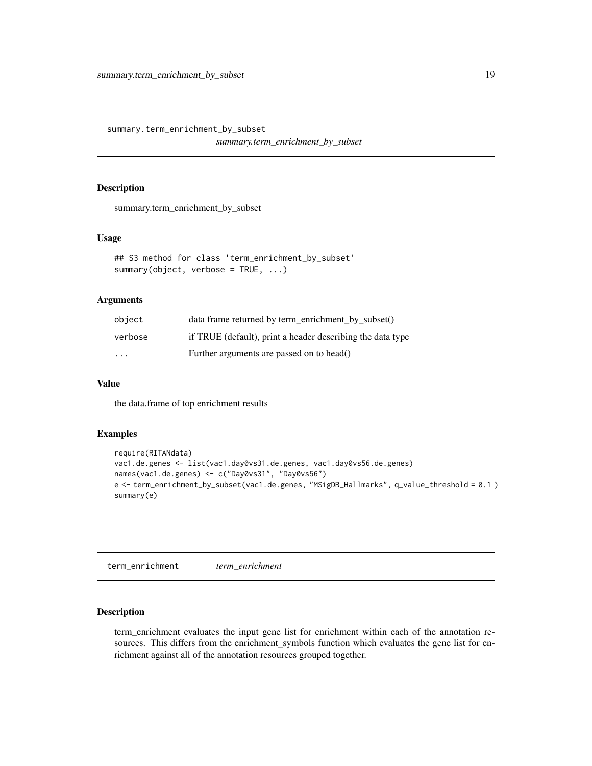<span id="page-18-0"></span>summary.term\_enrichment\_by\_subset

*summary.term\_enrichment\_by\_subset*

#### Description

summary.term\_enrichment\_by\_subset

#### Usage

```
## S3 method for class 'term_enrichment_by_subset'
summary(object, verbose = TRUE, ...)
```
#### Arguments

| object  | $data frame returned by term enrichment by subset()$       |
|---------|------------------------------------------------------------|
| verbose | if TRUE (default), print a header describing the data type |
| $\cdot$ | Further arguments are passed on to head()                  |

#### Value

the data.frame of top enrichment results

#### Examples

```
require(RITANdata)
vac1.de.genes <- list(vac1.day0vs31.de.genes, vac1.day0vs56.de.genes)
names(vac1.de.genes) <- c("Day0vs31", "Day0vs56")
e <- term_enrichment_by_subset(vac1.de.genes, "MSigDB_Hallmarks", q_value_threshold = 0.1 )
summary(e)
```
term\_enrichment *term\_enrichment*

#### Description

term\_enrichment evaluates the input gene list for enrichment within each of the annotation resources. This differs from the enrichment\_symbols function which evaluates the gene list for enrichment against all of the annotation resources grouped together.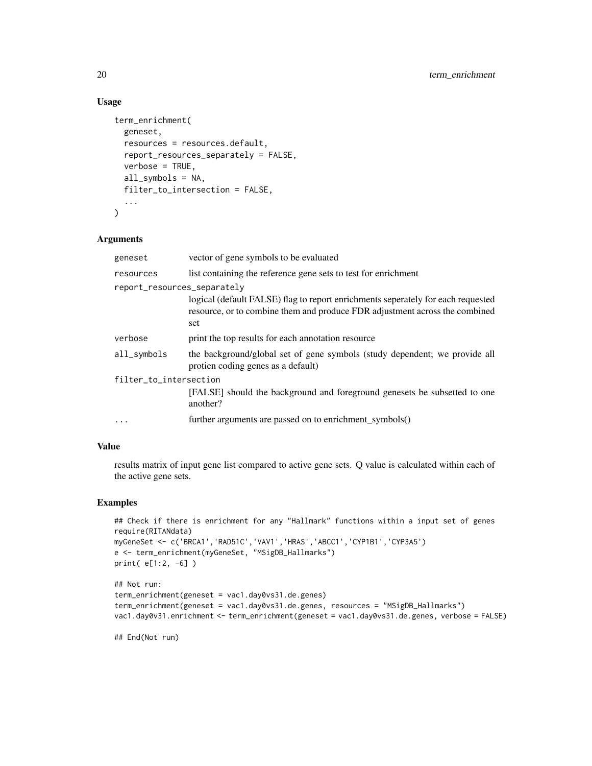#### Usage

```
term_enrichment(
  geneset,
  resources = resources.default,
 report_resources_separately = FALSE,
 verbose = TRUE,
  all_symbols = NA,
 filter_to_intersection = FALSE,
  ...
\mathcal{L}
```
#### Arguments

| geneset                     | vector of gene symbols to be evaluated                                                                                                                                 |  |
|-----------------------------|------------------------------------------------------------------------------------------------------------------------------------------------------------------------|--|
| resources                   | list containing the reference gene sets to test for enrichment                                                                                                         |  |
| report_resources_separately |                                                                                                                                                                        |  |
|                             | logical (default FALSE) flag to report enrichments seperately for each requested<br>resource, or to combine them and produce FDR adjustment across the combined<br>set |  |
| verbose                     | print the top results for each annotation resource                                                                                                                     |  |
| all_symbols                 | the background/global set of gene symbols (study dependent; we provide all<br>protien coding genes as a default)                                                       |  |
| filter_to_intersection      |                                                                                                                                                                        |  |
|                             | [FALSE] should the background and foreground genesets be subsetted to one<br>another?                                                                                  |  |
| .                           | further arguments are passed on to enrichment_symbols()                                                                                                                |  |

#### Value

results matrix of input gene list compared to active gene sets. Q value is calculated within each of the active gene sets.

#### Examples

```
## Check if there is enrichment for any "Hallmark" functions within a input set of genes
require(RITANdata)
myGeneSet <- c('BRCA1','RAD51C','VAV1','HRAS','ABCC1','CYP1B1','CYP3A5')
e <- term_enrichment(myGeneSet, "MSigDB_Hallmarks")
print( e[1:2, -6] )
```

```
## Not run:
term_enrichment(geneset = vac1.day0vs31.de.genes)
term_enrichment(geneset = vac1.day0vs31.de.genes, resources = "MSigDB_Hallmarks")
vac1.day0v31.enrichment <- term_enrichment(geneset = vac1.day0vs31.de.genes, verbose = FALSE)
```
## End(Not run)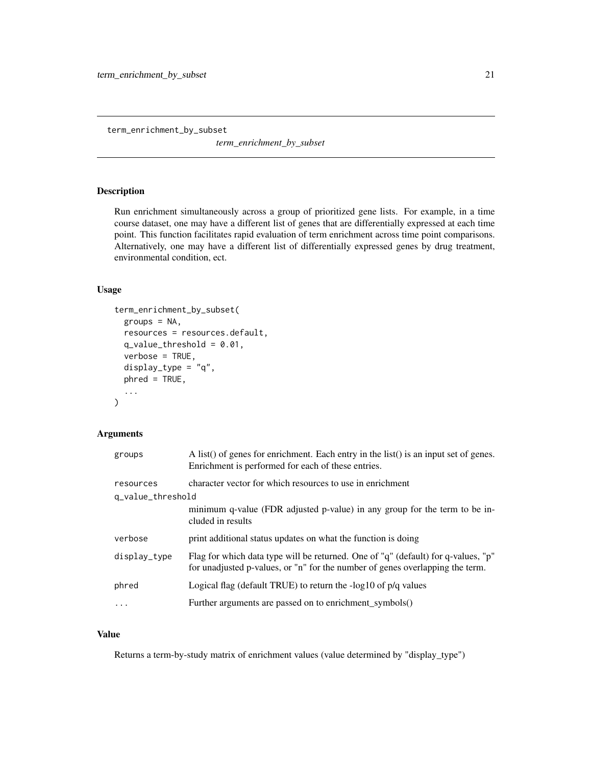<span id="page-20-0"></span>term\_enrichment\_by\_subset

*term\_enrichment\_by\_subset*

#### Description

Run enrichment simultaneously across a group of prioritized gene lists. For example, in a time course dataset, one may have a different list of genes that are differentially expressed at each time point. This function facilitates rapid evaluation of term enrichment across time point comparisons. Alternatively, one may have a different list of differentially expressed genes by drug treatment, environmental condition, ect.

#### Usage

```
term_enrichment_by_subset(
  groups = NA,
  resources = resources.default,
  q_value_\text{threshold} = 0.01,
  verbose = TRUE,
  display_type = "q",
  phred = TRUE,
  ...
\mathcal{L}
```
#### Arguments

| groups            | A list() of genes for enrichment. Each entry in the list() is an input set of genes.<br>Enrichment is performed for each of these entries.                         |
|-------------------|--------------------------------------------------------------------------------------------------------------------------------------------------------------------|
| resources         | character vector for which resources to use in enrichment                                                                                                          |
| q_value_threshold |                                                                                                                                                                    |
|                   | minimum q-value (FDR adjusted p-value) in any group for the term to be in-<br>cluded in results                                                                    |
| verbose           | print additional status updates on what the function is doing                                                                                                      |
| display_type      | Flag for which data type will be returned. One of "q" (default) for q-values, "p"<br>for unadjusted p-values, or "n" for the number of genes overlapping the term. |
| phred             | Logical flag (default TRUE) to return the -log10 of p/q values                                                                                                     |
| .                 | Further arguments are passed on to enrichment_symbols()                                                                                                            |

#### Value

Returns a term-by-study matrix of enrichment values (value determined by "display\_type")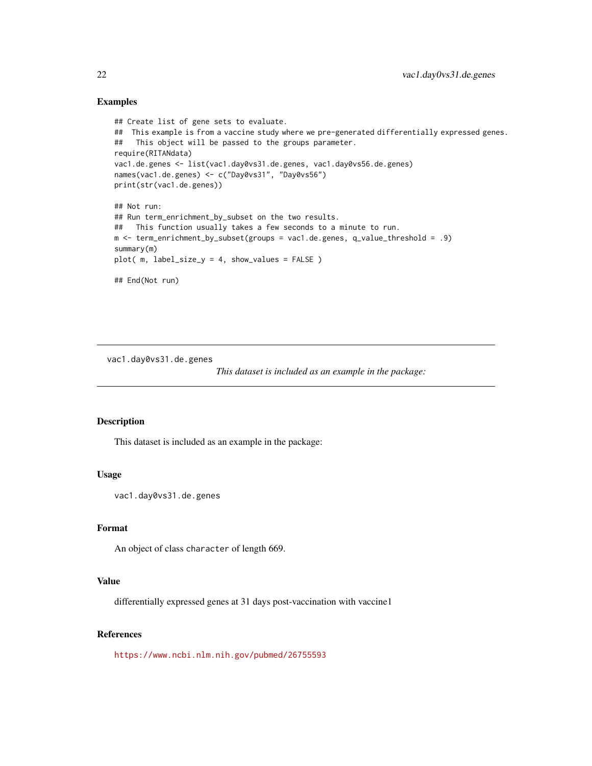#### <span id="page-21-0"></span>Examples

```
## Create list of gene sets to evaluate.
## This example is from a vaccine study where we pre-generated differentially expressed genes.
## This object will be passed to the groups parameter.
require(RITANdata)
vac1.de.genes <- list(vac1.day0vs31.de.genes, vac1.day0vs56.de.genes)
names(vac1.de.genes) <- c("Day0vs31", "Day0vs56")
print(str(vac1.de.genes))
## Not run:
## Run term_enrichment_by_subset on the two results.
## This function usually takes a few seconds to a minute to run.
m <- term_enrichment_by_subset(groups = vac1.de.genes, q_value_threshold = .9)
summary(m)
plot( m, label_size_y = 4, show_values = FALSE )
## End(Not run)
```
vac1.day0vs31.de.genes

*This dataset is included as an example in the package:*

#### Description

This dataset is included as an example in the package:

#### Usage

vac1.day0vs31.de.genes

#### Format

An object of class character of length 669.

#### Value

differentially expressed genes at 31 days post-vaccination with vaccine1

#### References

<https://www.ncbi.nlm.nih.gov/pubmed/26755593>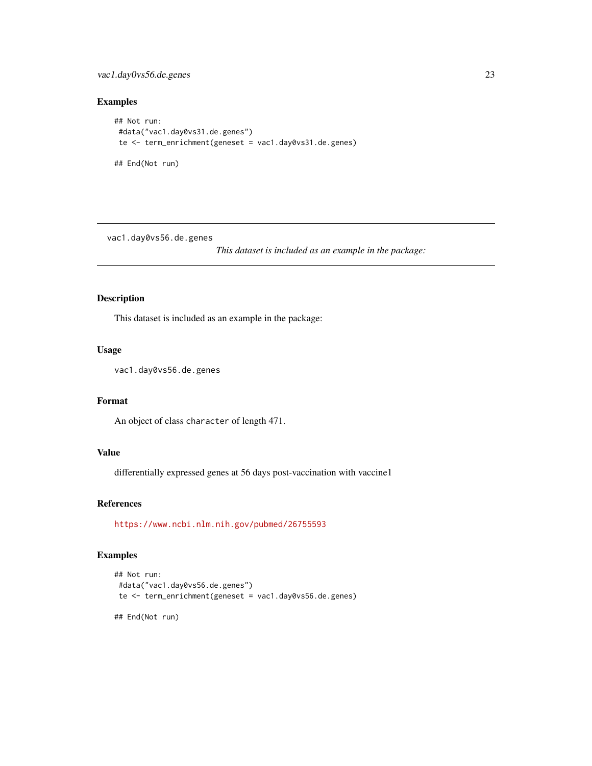#### <span id="page-22-0"></span>vac1.day0vs56.de.genes 23

#### Examples

```
## Not run:
#data("vac1.day0vs31.de.genes")
te <- term_enrichment(geneset = vac1.day0vs31.de.genes)
## End(Not run)
```
vac1.day0vs56.de.genes

*This dataset is included as an example in the package:*

#### Description

This dataset is included as an example in the package:

#### Usage

vac1.day0vs56.de.genes

#### Format

An object of class character of length 471.

#### Value

differentially expressed genes at 56 days post-vaccination with vaccine1

#### References

<https://www.ncbi.nlm.nih.gov/pubmed/26755593>

#### Examples

```
## Not run:
#data("vac1.day0vs56.de.genes")
te <- term_enrichment(geneset = vac1.day0vs56.de.genes)
```
## End(Not run)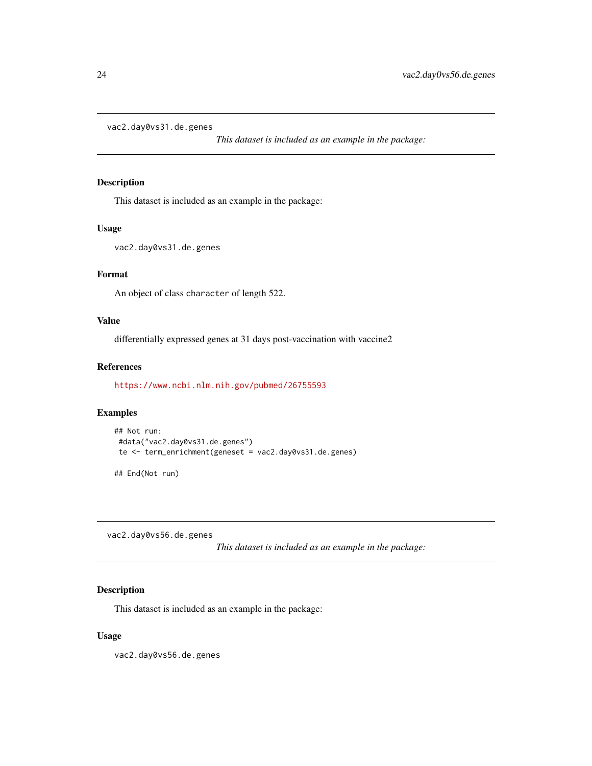```
vac2.day0vs31.de.genes
```
*This dataset is included as an example in the package:*

#### Description

This dataset is included as an example in the package:

#### Usage

```
vac2.day0vs31.de.genes
```
#### Format

An object of class character of length 522.

#### Value

differentially expressed genes at 31 days post-vaccination with vaccine2

#### References

<https://www.ncbi.nlm.nih.gov/pubmed/26755593>

#### Examples

```
## Not run:
#data("vac2.day0vs31.de.genes")
te <- term_enrichment(geneset = vac2.day0vs31.de.genes)
## End(Not run)
```
vac2.day0vs56.de.genes

*This dataset is included as an example in the package:*

#### Description

This dataset is included as an example in the package:

#### Usage

vac2.day0vs56.de.genes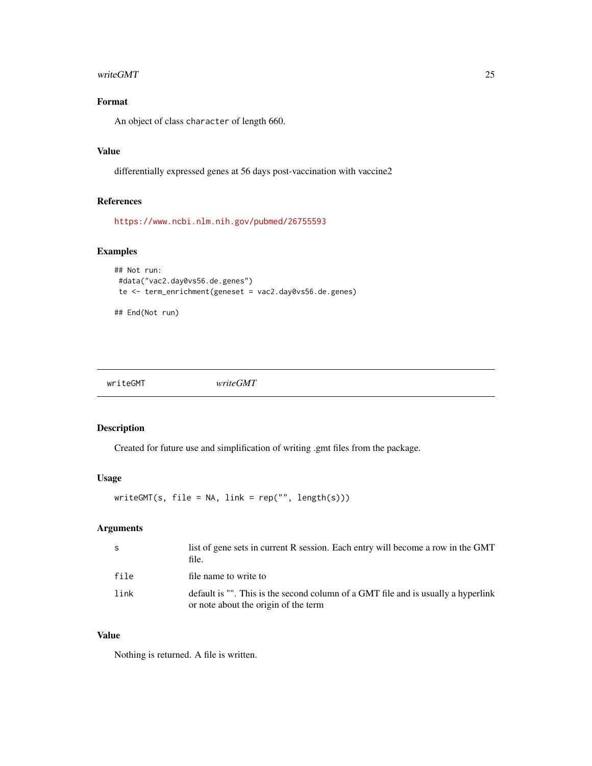#### <span id="page-24-0"></span>writeGMT 25

#### Format

An object of class character of length 660.

#### Value

differentially expressed genes at 56 days post-vaccination with vaccine2

#### References

<https://www.ncbi.nlm.nih.gov/pubmed/26755593>

#### Examples

```
## Not run:
#data("vac2.day0vs56.de.genes")
te <- term_enrichment(geneset = vac2.day0vs56.de.genes)
```

```
## End(Not run)
```
writeGMT *writeGMT*

#### Description

Created for future use and simplification of writing .gmt files from the package.

#### Usage

 $writeGMT(s, file = NA, link = rep("", length(s)))$ 

#### Arguments

| - S  | list of gene sets in current R session. Each entry will become a row in the GMT<br>file.                                  |
|------|---------------------------------------------------------------------------------------------------------------------------|
| file | file name to write to                                                                                                     |
| link | default is "". This is the second column of a GMT file and is usually a hyperlink<br>or note about the origin of the term |

#### Value

Nothing is returned. A file is written.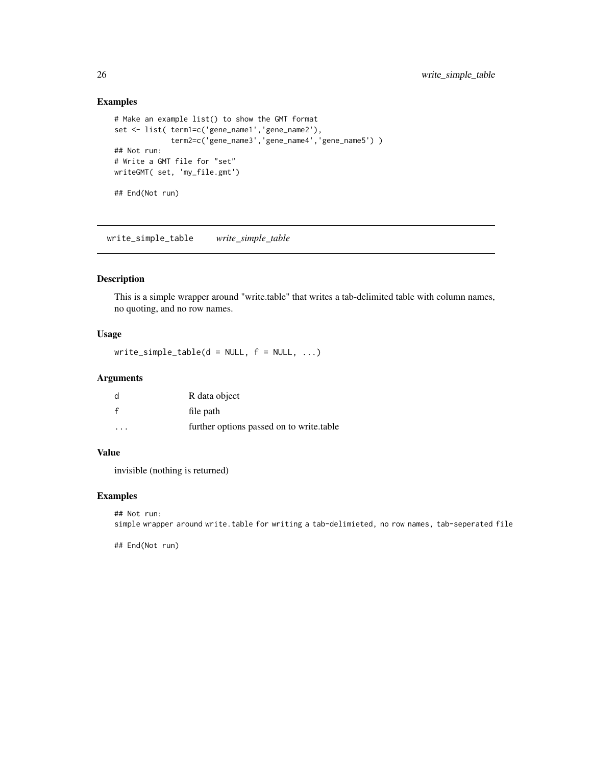#### Examples

```
# Make an example list() to show the GMT format
set <- list( term1=c('gene_name1','gene_name2'),
             term2=c('gene_name3','gene_name4','gene_name5') )
## Not run:
# Write a GMT file for "set"
writeGMT( set, 'my_file.gmt')
## End(Not run)
```
write\_simple\_table *write\_simple\_table*

#### Description

This is a simple wrapper around "write.table" that writes a tab-delimited table with column names, no quoting, and no row names.

#### Usage

write\_simple\_table(d = NULL,  $f = NULL$ , ...)

#### Arguments

| d            | R data object                            |
|--------------|------------------------------------------|
| $\mathbf{f}$ | file path                                |
| .            | further options passed on to write table |

#### Value

invisible (nothing is returned)

#### Examples

## Not run: simple wrapper around write.table for writing a tab-delimieted, no row names, tab-seperated file

## End(Not run)

<span id="page-25-0"></span>